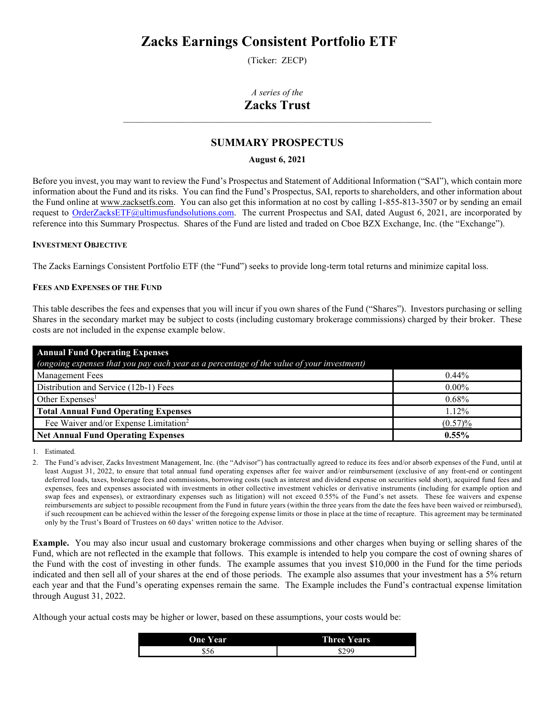# **Zacks Earnings Consistent Portfolio ETF**

(Ticker: ZECP)

# *A series of the* **Zacks Trust**

\_\_\_\_\_\_\_\_\_\_\_\_\_\_\_\_\_\_\_\_\_\_\_\_\_\_\_\_\_\_\_\_\_\_\_\_\_\_\_\_\_\_\_\_\_\_\_\_\_\_\_\_\_\_\_\_\_\_\_\_\_\_\_\_\_\_\_\_

# **SUMMARY PROSPECTUS**

# **August 6, 2021**

Before you invest, you may want to review the Fund's Prospectus and Statement of Additional Information ("SAI"), which contain more information about the Fund and its risks. You can find the Fund's Prospectus, SAI, reports to shareholders, and other information about the Fund online at [www.zacksetfs.com.](http://www.zacksetfs.com/) You can also get this information at no cost by calling 1-855-813-3507 or by sending an email request to [OrderZacksETF@ultimusfundsolutions.com.](mailto:OrderZacksETF@ultimusfundsolutions.com) The current Prospectus and SAI, dated August 6, 2021, are incorporated by reference into this Summary Prospectus. Shares of the Fund are listed and traded on Cboe BZX Exchange, Inc. (the "Exchange").

# **INVESTMENT OBJECTIVE**

The Zacks Earnings Consistent Portfolio ETF (the "Fund") seeks to provide long-term total returns and minimize capital loss.

# **FEES AND EXPENSES OF THE FUND**

This table describes the fees and expenses that you will incur if you own shares of the Fund ("Shares"). Investors purchasing or selling Shares in the secondary market may be subject to costs (including customary brokerage commissions) charged by their broker. These costs are not included in the expense example below.

| <b>Annual Fund Operating Expenses</b>                                                     |            |
|-------------------------------------------------------------------------------------------|------------|
| (ongoing expenses that you pay each year as a percentage of the value of your investment) |            |
| <b>Management Fees</b>                                                                    | $0.44\%$   |
| Distribution and Service (12b-1) Fees                                                     | $0.00\%$   |
| Other Expenses <sup>1</sup>                                                               | $0.68\%$   |
| <b>Total Annual Fund Operating Expenses</b>                                               | 1.12%      |
| Fee Waiver and/or Expense Limitation <sup>2</sup>                                         | $(0.57)\%$ |
| <b>Net Annual Fund Operating Expenses</b>                                                 | $0.55\%$   |

1. Estimated.

2. The Fund's adviser, Zacks Investment Management, Inc. (the "Advisor") has contractually agreed to reduce its fees and/or absorb expenses of the Fund, until at least August 31, 2022, to ensure that total annual fund operating expenses after fee waiver and/or reimbursement (exclusive of any front-end or contingent deferred loads, taxes, brokerage fees and commissions, borrowing costs (such as interest and dividend expense on securities sold short), acquired fund fees and expenses, fees and expenses associated with investments in other collective investment vehicles or derivative instruments (including for example option and swap fees and expenses), or extraordinary expenses such as litigation) will not exceed 0.55% of the Fund's net assets. These fee waivers and expense reimbursements are subject to possible recoupment from the Fund in future years (within the three years from the date the fees have been waived or reimbursed), if such recoupment can be achieved within the lesser of the foregoing expense limits or those in place at the time of recapture. This agreement may be terminated only by the Trust's Board of Trustees on 60 days' written notice to the Advisor.

**Example.** You may also incur usual and customary brokerage commissions and other charges when buying or selling shares of the Fund, which are not reflected in the example that follows. This example is intended to help you compare the cost of owning shares of the Fund with the cost of investing in other funds. The example assumes that you invest \$10,000 in the Fund for the time periods indicated and then sell all of your shares at the end of those periods. The example also assumes that your investment has a 5% return each year and that the Fund's operating expenses remain the same. The Example includes the Fund's contractual expense limitation through August 31, 2022.

Although your actual costs may be higher or lower, based on these assumptions, your costs would be:

| <b>One Year</b> | <b>Three Years</b> |
|-----------------|--------------------|
| 556             | \$299              |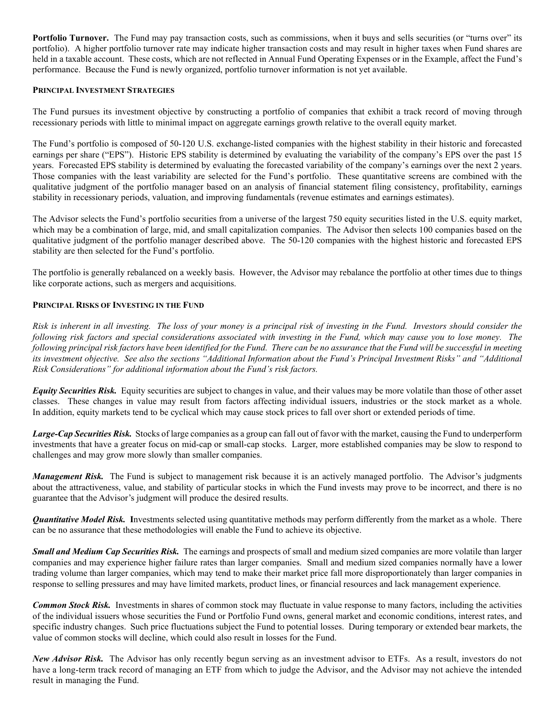**Portfolio Turnover.** The Fund may pay transaction costs, such as commissions, when it buys and sells securities (or "turns over" its portfolio). A higher portfolio turnover rate may indicate higher transaction costs and may result in higher taxes when Fund shares are held in a taxable account. These costs, which are not reflected in Annual Fund Operating Expenses or in the Example, affect the Fund's performance. Because the Fund is newly organized, portfolio turnover information is not yet available.

# **PRINCIPAL INVESTMENT STRATEGIES**

The Fund pursues its investment objective by constructing a portfolio of companies that exhibit a track record of moving through recessionary periods with little to minimal impact on aggregate earnings growth relative to the overall equity market.

The Fund's portfolio is composed of 50-120 U.S. exchange-listed companies with the highest stability in their historic and forecasted earnings per share ("EPS"). Historic EPS stability is determined by evaluating the variability of the company's EPS over the past 15 years. Forecasted EPS stability is determined by evaluating the forecasted variability of the company's earnings over the next 2 years. Those companies with the least variability are selected for the Fund's portfolio. These quantitative screens are combined with the qualitative judgment of the portfolio manager based on an analysis of financial statement filing consistency, profitability, earnings stability in recessionary periods, valuation, and improving fundamentals (revenue estimates and earnings estimates).

The Advisor selects the Fund's portfolio securities from a universe of the largest 750 equity securities listed in the U.S. equity market, which may be a combination of large, mid, and small capitalization companies. The Advisor then selects 100 companies based on the qualitative judgment of the portfolio manager described above. The 50-120 companies with the highest historic and forecasted EPS stability are then selected for the Fund's portfolio.

The portfolio is generally rebalanced on a weekly basis. However, the Advisor may rebalance the portfolio at other times due to things like corporate actions, such as mergers and acquisitions.

#### **PRINCIPAL RISKS OF INVESTING IN THE FUND**

*Risk is inherent in all investing. The loss of your money is a principal risk of investing in the Fund. Investors should consider the following risk factors and special considerations associated with investing in the Fund, which may cause you to lose money. The following principal risk factors have been identified for the Fund. There can be no assurance that the Fund will be successful in meeting its investment objective. See also the sections "Additional Information about the Fund's Principal Investment Risks" and "Additional Risk Considerations" for additional information about the Fund's risk factors.*

*Equity Securities Risk.* Equity securities are subject to changes in value, and their values may be more volatile than those of other asset classes. These changes in value may result from factors affecting individual issuers, industries or the stock market as a whole. In addition, equity markets tend to be cyclical which may cause stock prices to fall over short or extended periods of time.

*Large-Cap Securities Risk.* Stocks of large companies as a group can fall out of favor with the market, causing the Fund to underperform investments that have a greater focus on mid-cap or small-cap stocks. Larger, more established companies may be slow to respond to challenges and may grow more slowly than smaller companies.

*Management Risk.* The Fund is subject to management risk because it is an actively managed portfolio. The Advisor's judgments about the attractiveness, value, and stability of particular stocks in which the Fund invests may prove to be incorrect, and there is no guarantee that the Advisor's judgment will produce the desired results.

*Quantitative Model Risk.* **I**nvestments selected using quantitative methods may perform differently from the market as a whole. There can be no assurance that these methodologies will enable the Fund to achieve its objective.

*Small and Medium Cap Securities Risk.* The earnings and prospects of small and medium sized companies are more volatile than larger companies and may experience higher failure rates than larger companies. Small and medium sized companies normally have a lower trading volume than larger companies, which may tend to make their market price fall more disproportionately than larger companies in response to selling pressures and may have limited markets, product lines, or financial resources and lack management experience.

*Common Stock Risk.* Investments in shares of common stock may fluctuate in value response to many factors, including the activities of the individual issuers whose securities the Fund or Portfolio Fund owns, general market and economic conditions, interest rates, and specific industry changes. Such price fluctuations subject the Fund to potential losses. During temporary or extended bear markets, the value of common stocks will decline, which could also result in losses for the Fund.

*New Advisor Risk.* The Advisor has only recently begun serving as an investment advisor to ETFs. As a result, investors do not have a long-term track record of managing an ETF from which to judge the Advisor, and the Advisor may not achieve the intended result in managing the Fund.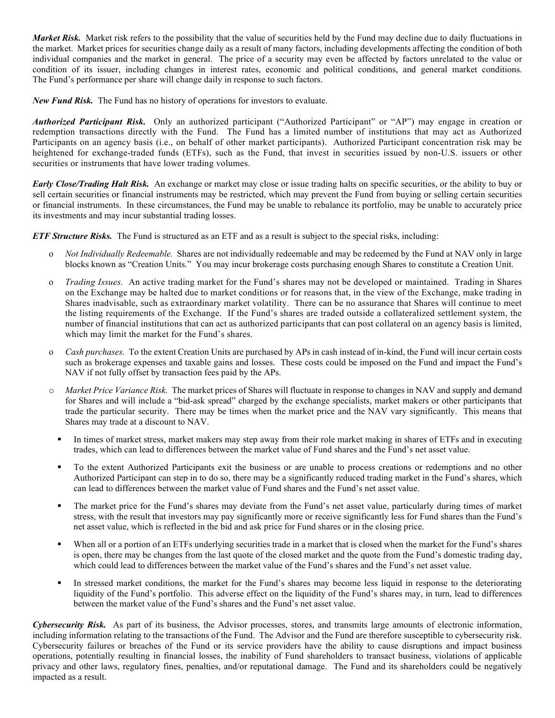*Market Risk.* Market risk refers to the possibility that the value of securities held by the Fund may decline due to daily fluctuations in the market. Market prices for securities change daily as a result of many factors, including developments affecting the condition of both individual companies and the market in general. The price of a security may even be affected by factors unrelated to the value or condition of its issuer, including changes in interest rates, economic and political conditions, and general market conditions. The Fund's performance per share will change daily in response to such factors.

*New Fund Risk.* The Fund has no history of operations for investors to evaluate.

*Authorized Participant Risk.* Only an authorized participant ("Authorized Participant" or "AP") may engage in creation or redemption transactions directly with the Fund. The Fund has a limited number of institutions that may act as Authorized Participants on an agency basis (i.e., on behalf of other market participants). Authorized Participant concentration risk may be heightened for exchange-traded funds (ETFs), such as the Fund, that invest in securities issued by non-U.S. issuers or other securities or instruments that have lower trading volumes.

*Early Close/Trading Halt Risk.* An exchange or market may close or issue trading halts on specific securities, or the ability to buy or sell certain securities or financial instruments may be restricted, which may prevent the Fund from buying or selling certain securities or financial instruments. In these circumstances, the Fund may be unable to rebalance its portfolio, may be unable to accurately price its investments and may incur substantial trading losses.

*ETF Structure Risks.* The Fund is structured as an ETF and as a result is subject to the special risks, including:

- o *Not Individually Redeemable.* Shares are not individually redeemable and may be redeemed by the Fund at NAV only in large blocks known as "Creation Units." You may incur brokerage costs purchasing enough Shares to constitute a Creation Unit.
- o *Trading Issues.* An active trading market for the Fund's shares may not be developed or maintained. Trading in Shares on the Exchange may be halted due to market conditions or for reasons that, in the view of the Exchange, make trading in Shares inadvisable, such as extraordinary market volatility. There can be no assurance that Shares will continue to meet the listing requirements of the Exchange. If the Fund's shares are traded outside a collateralized settlement system, the number of financial institutions that can act as authorized participants that can post collateral on an agency basis is limited, which may limit the market for the Fund's shares.
- o *Cash purchases.* To the extent Creation Units are purchased by APs in cash instead of in-kind, the Fund will incur certain costs such as brokerage expenses and taxable gains and losses. These costs could be imposed on the Fund and impact the Fund's NAV if not fully offset by transaction fees paid by the APs.
- o *Market Price Variance Risk.* The market prices of Shares will fluctuate in response to changes in NAV and supply and demand for Shares and will include a "bid-ask spread" charged by the exchange specialists, market makers or other participants that trade the particular security. There may be times when the market price and the NAV vary significantly. This means that Shares may trade at a discount to NAV.
	- In times of market stress, market makers may step away from their role market making in shares of ETFs and in executing trades, which can lead to differences between the market value of Fund shares and the Fund's net asset value.
	- To the extent Authorized Participants exit the business or are unable to process creations or redemptions and no other Authorized Participant can step in to do so, there may be a significantly reduced trading market in the Fund's shares, which can lead to differences between the market value of Fund shares and the Fund's net asset value.
	- The market price for the Fund's shares may deviate from the Fund's net asset value, particularly during times of market stress, with the result that investors may pay significantly more or receive significantly less for Fund shares than the Fund's net asset value, which is reflected in the bid and ask price for Fund shares or in the closing price.
	- When all or a portion of an ETFs underlying securities trade in a market that is closed when the market for the Fund's shares is open, there may be changes from the last quote of the closed market and the quote from the Fund's domestic trading day, which could lead to differences between the market value of the Fund's shares and the Fund's net asset value.
	- In stressed market conditions, the market for the Fund's shares may become less liquid in response to the deteriorating liquidity of the Fund's portfolio. This adverse effect on the liquidity of the Fund's shares may, in turn, lead to differences between the market value of the Fund's shares and the Fund's net asset value.

*Cybersecurity Risk.* As part of its business, the Advisor processes, stores, and transmits large amounts of electronic information, including information relating to the transactions of the Fund. The Advisor and the Fund are therefore susceptible to cybersecurity risk. Cybersecurity failures or breaches of the Fund or its service providers have the ability to cause disruptions and impact business operations, potentially resulting in financial losses, the inability of Fund shareholders to transact business, violations of applicable privacy and other laws, regulatory fines, penalties, and/or reputational damage. The Fund and its shareholders could be negatively impacted as a result.